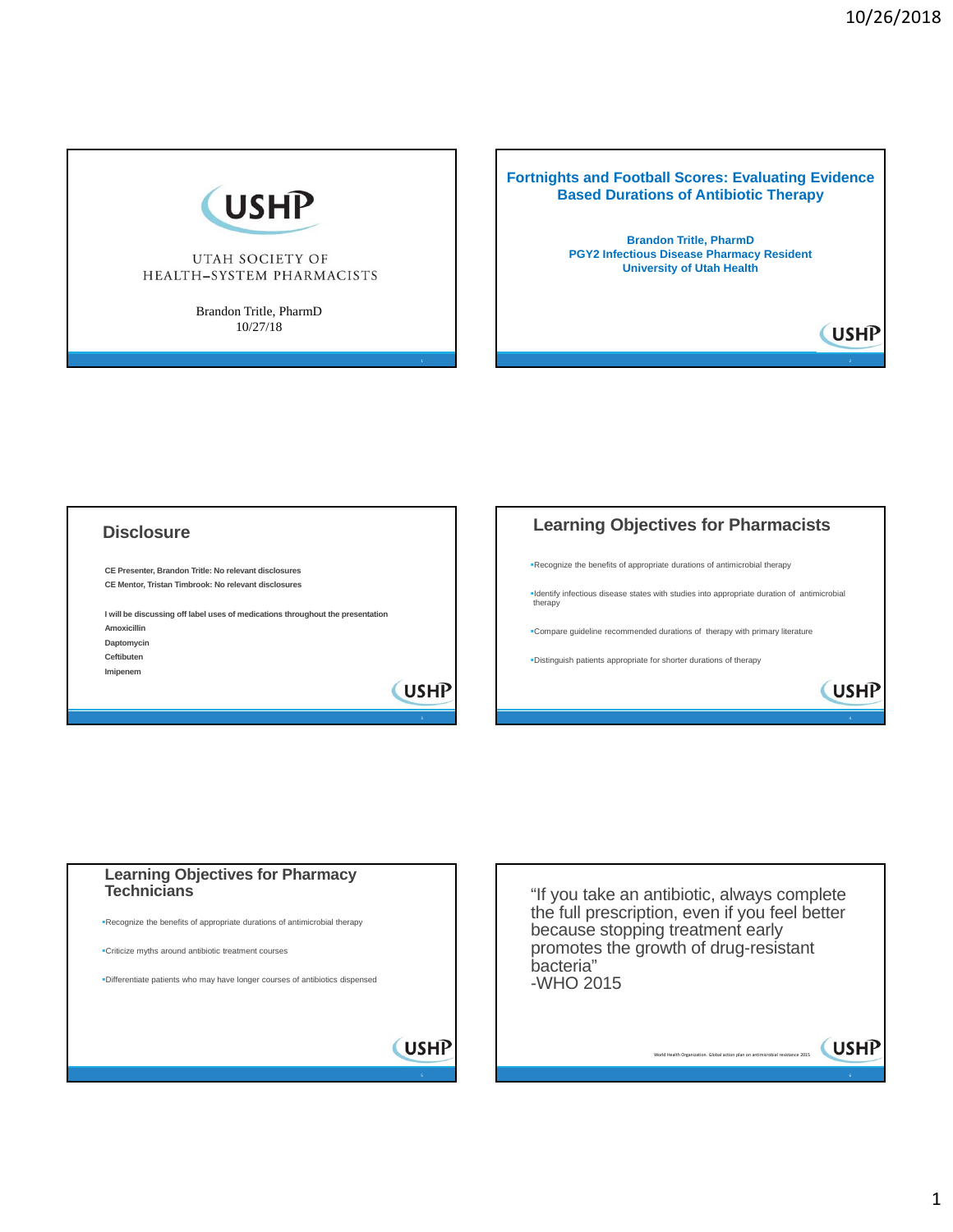**USHP** 



#### UTAH SOCIETY OF HEALTH-SYSTEM PHARMACISTS

Brandon Tritle, PharmD 10/27/18

**Fortnights and Football Scores: Evaluating Evidence Based Durations of Antibiotic Therapy**

> **Brandon Tritle, PharmD PGY2 Infectious Disease Pharmacy Resident University of Utah Health**

## **Disclosure**

**Imipenem** 

**CE Presenter, Brandon Tritle: No relevant disclosures CE Mentor, Tristan Timbrook: No relevant disclosures**

**I will be discussing off label uses of medications throughout the presentation Amoxicillin Daptomycin Ceftibuten**

**USHP** 





"If you take an antibiotic, always complete the full prescription, even if you feel better because stopping treatment early promotes the growth of drug-resistant bacteria" -WHO 2015

world Health Organization.<br>Clobal action plan on an

**USHP** €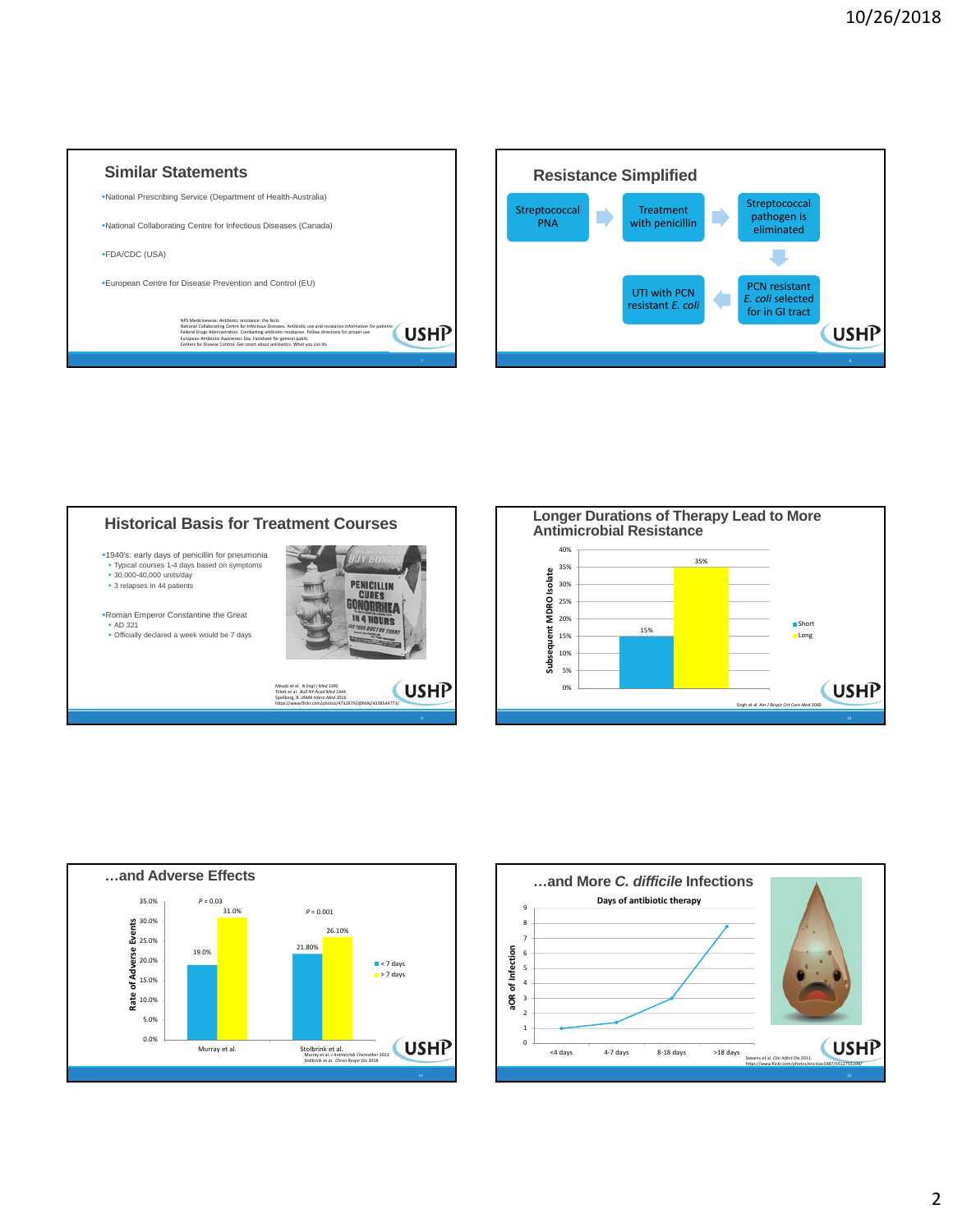









**Short Long** 

**USHP**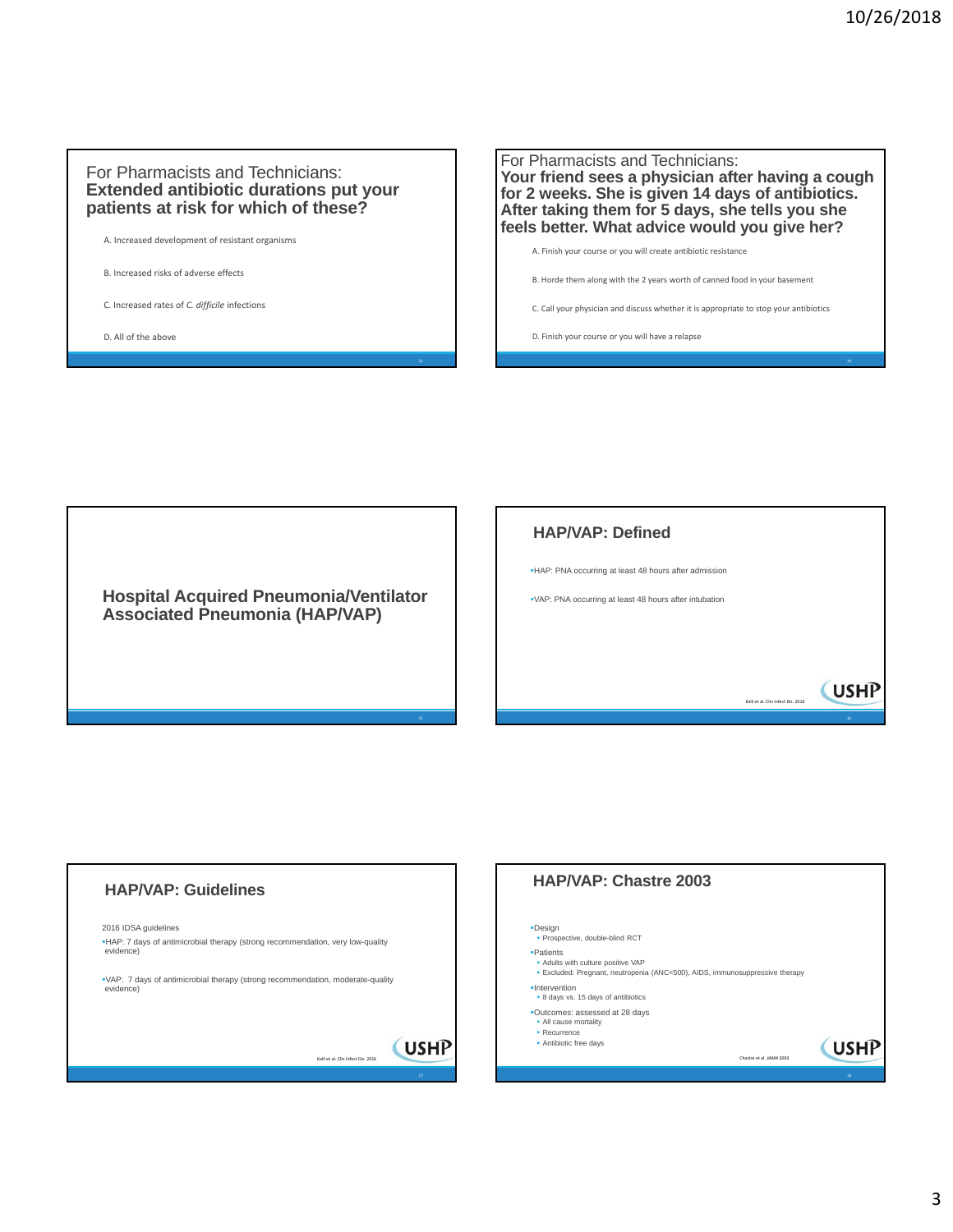#### For Pharmacists and Technicians: **Extended antibiotic durations put your patients at risk for which of these?**

A. Increased development of resistant organisms

B. Increased risks of adverse effects

C. Increased rates of *C. difficile* infections

D. All of the above

For Pharmacists and Technicians: **Your friend sees a physician after having a cough for 2 weeks. She is given 14 days of antibiotics. After taking them for 5 days, she tells you she feels better. What advice would you give her?**

A. Finish your course or you will create antibiotic resistance B. Horde them along with the 2 years worth of canned food in your basement C. Call your physician and discuss whether it is appropriate to stop your antibiotics

D. Finish your course or you will have a relapse

**Hospital Acquired Pneumonia/Ventilator Associated Pneumonia (HAP/VAP)**

# **HAP/VAP: Defined** HAP: PNA occurring at least 48 hours after admission VAP: PNA occurring at least 48 hours after intubation **CUSHP** Kalil et al. Clin Infect Dis. 2016

# **HAP/VAP: Guidelines** 2016 IDSA guidelines HAP: 7 days of antimicrobial therapy (strong recommendation, very low-quality evidence) VAP: 7 days of antimicrobial therapy (strong recommendation, moderate-quality evidence) **(USHP** Kalil et al. Clin Infect Dis. 2016

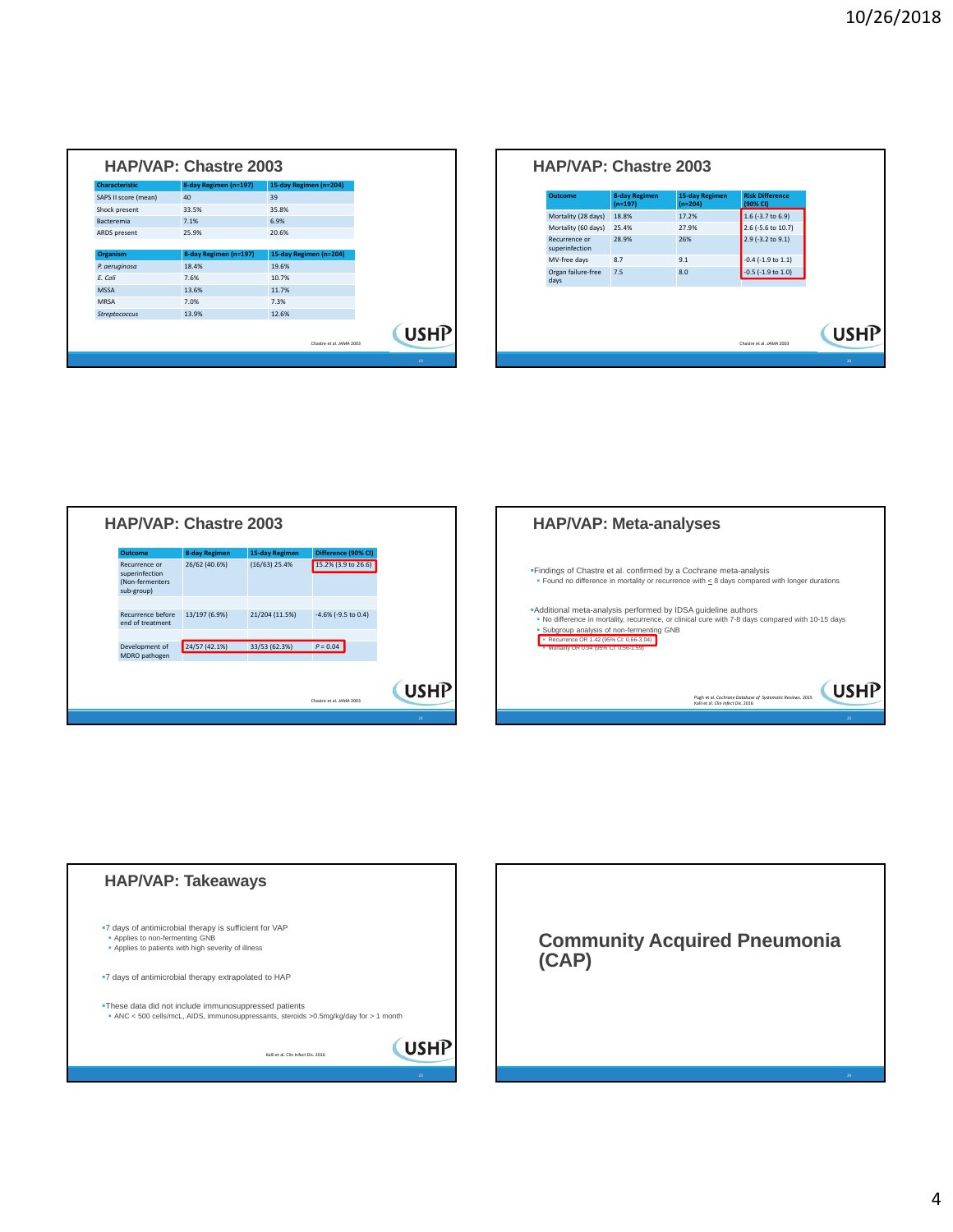| Characteristic       | 8-day Regimen (n=197) | 15-day Regimen (n=204) |                                         |
|----------------------|-----------------------|------------------------|-----------------------------------------|
| SAPS II score (mean) | 40                    | 39                     |                                         |
| Shock present        | 33.5%                 | 35.8%                  |                                         |
| <b>Bacteremia</b>    | 7.1%                  | 6.9%                   |                                         |
| ARDS present         | 25.9%                 | 20.6%                  |                                         |
|                      |                       |                        |                                         |
| <b>Organism</b>      | 8-day Regimen (n=197) | 15-day Regimen (n=204) |                                         |
| P. aeruginosa        | 18.4%                 | 19.6%                  |                                         |
| E. Coli              | 7.6%                  | 10.7%                  |                                         |
| <b>MSSA</b>          | 13.6%                 | 11.7%                  |                                         |
| <b>MRSA</b>          | 7.0%                  | 7.3%                   |                                         |
| <b>Streptococcus</b> | 13.9%                 | 12.6%                  |                                         |
|                      |                       |                        |                                         |
|                      |                       |                        | <b>USHP</b><br>Chastre et al. JAMA 2003 |

| Outcome                         | <b>8-day Regimen</b><br>$(n=197)$ | 15-day Regimen<br>$(n=204)$ | <b>Risk Difference</b><br>(90% CI) |
|---------------------------------|-----------------------------------|-----------------------------|------------------------------------|
| Mortality (28 days)             | 18.8%                             | 17.2%                       | $1.6$ (-3.7 to 6.9)                |
| Mortality (60 days)             | 25.4%                             | 27.9%                       | 2.6 (-5.6 to 10.7)                 |
| Recurrence or<br>superinfection | 28.9%                             | 26%                         | 2.9 (-3.2 to 9.1)                  |
| MV-free days                    | 8.7                               | 9.1                         | $-0.4$ ( $-1.9$ to $1.1$ )         |
| Organ failure-free<br>days      | 7.5                               | 8.0                         | $-0.5$ ( $-1.9$ to $1.0$ )         |
|                                 |                                   |                             | Chastre et al. JAMA 2003           |







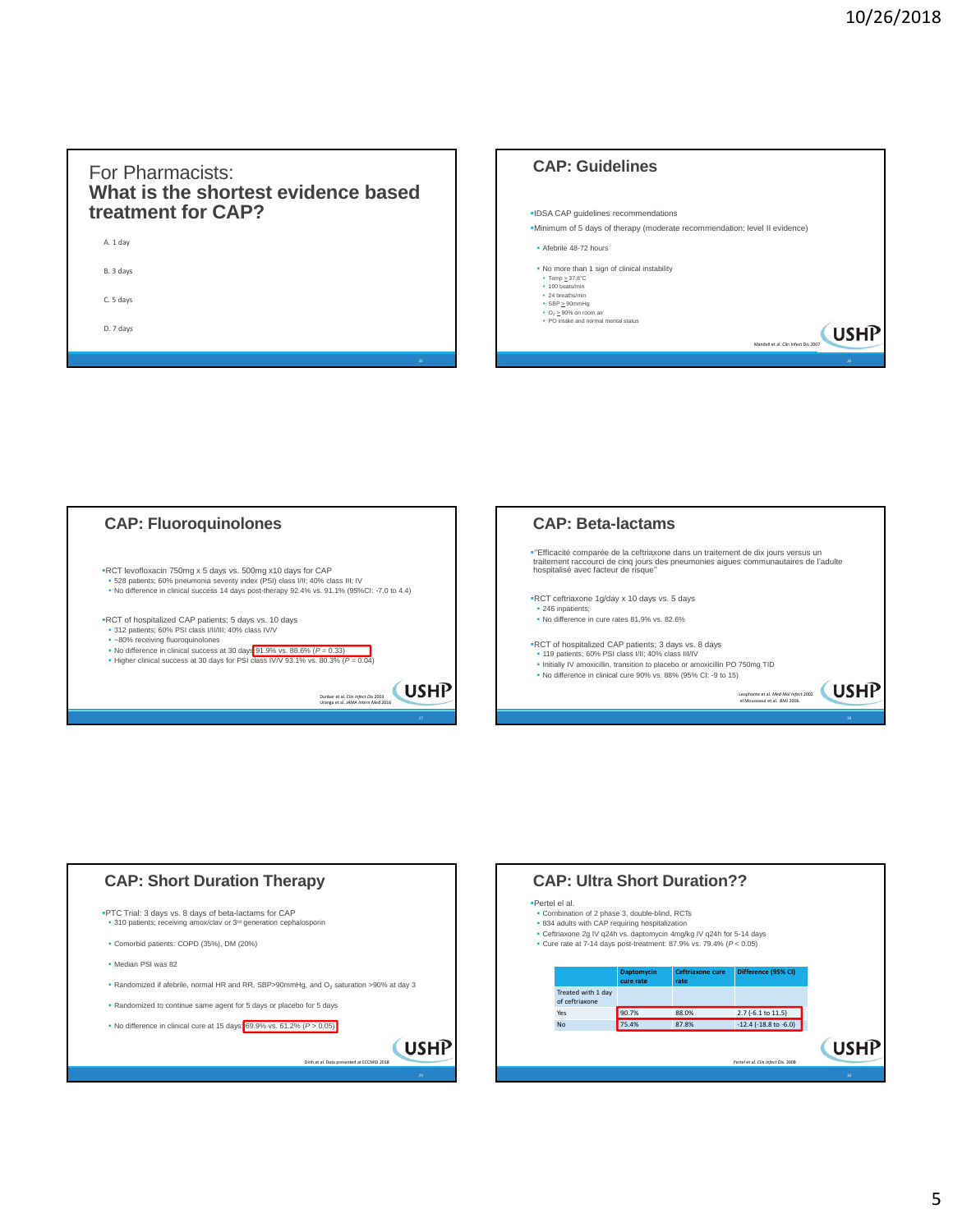## For Pharmacists: **What is the shortest evidence based treatment for CAP?**

| A. 1 day  |  |  |
|-----------|--|--|
| B. 3 days |  |  |
| C. 5 days |  |  |
| D. 7 days |  |  |
|           |  |  |

| <b>CAP: Guidelines</b>                                                     |
|----------------------------------------------------------------------------|
|                                                                            |
|                                                                            |
|                                                                            |
| . IDSA CAP guidelines recommendations                                      |
| "Minimum of 5 days of therapy (moderate recommendation; level II evidence) |
| · Afebrile 48-72 hours                                                     |
| . No more than 1 sign of clinical instability                              |
| $\bullet$ Temp > 37.8°C                                                    |
| $-100$ heats/min<br>· 24 hreaths/min                                       |
| $SBP \geq 90$ mmHg                                                         |
| • $O_2 \ge 90\%$ on room air                                               |
| . PO intake and normal mental status                                       |
| <b>USHP</b>                                                                |
| Mandell et al. Clin Infect Dis 2007                                        |
| 26                                                                         |
|                                                                            |
|                                                                            |





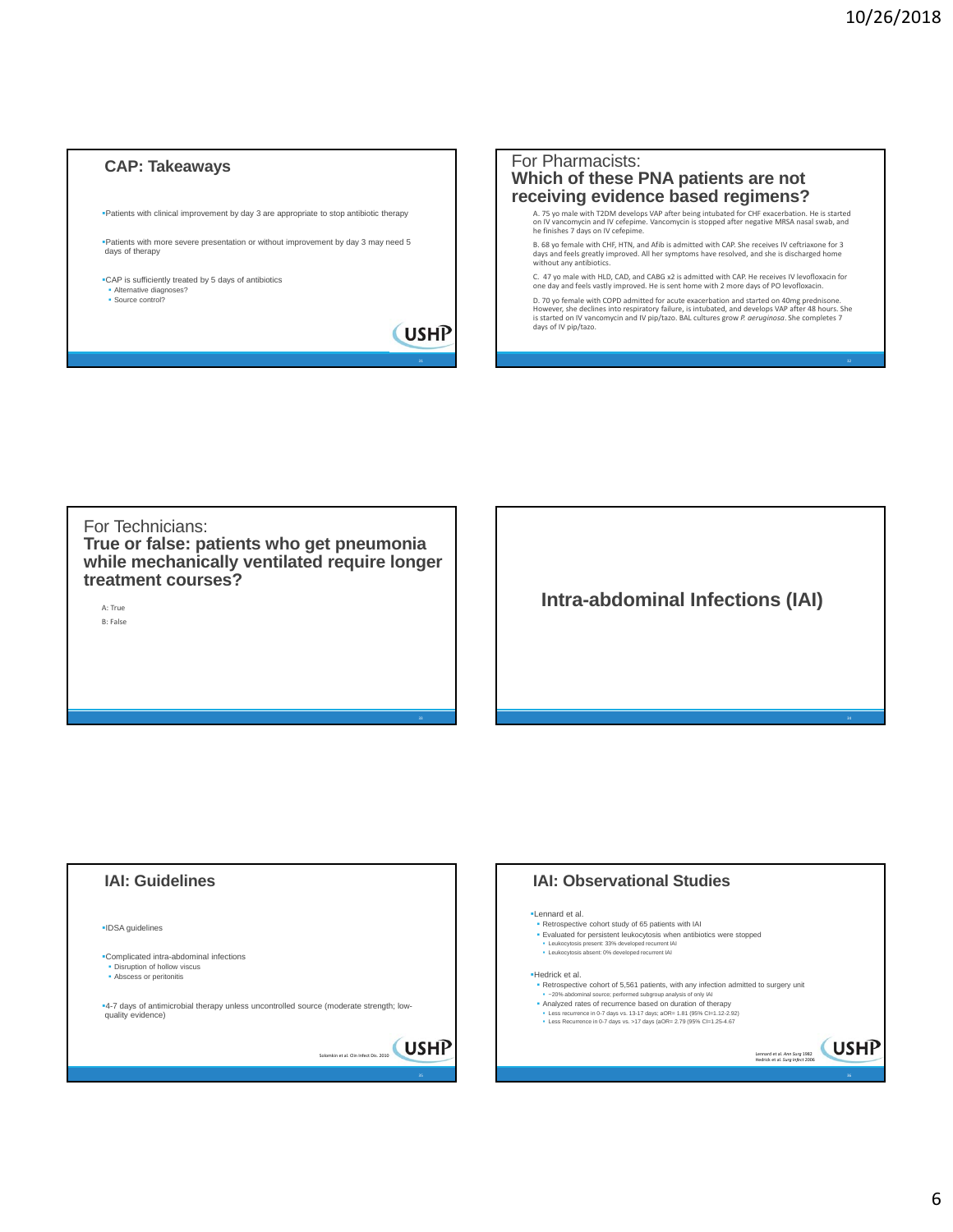#### **CAP: Takeaways**

Patients with clinical improvement by day 3 are appropriate to stop antibiotic therapy

Patients with more severe presentation or without improvement by day 3 may need 5 days of therapy

CAP is sufficiently treated by 5 days of antibiotics **Alternative diagnoses?** Source control?

**USHP** 



For Technicians: **True or false: patients who get pneumonia while mechanically ventilated require longer treatment courses?**

A: True B: False **Intra-abdominal Infections (IAI)**



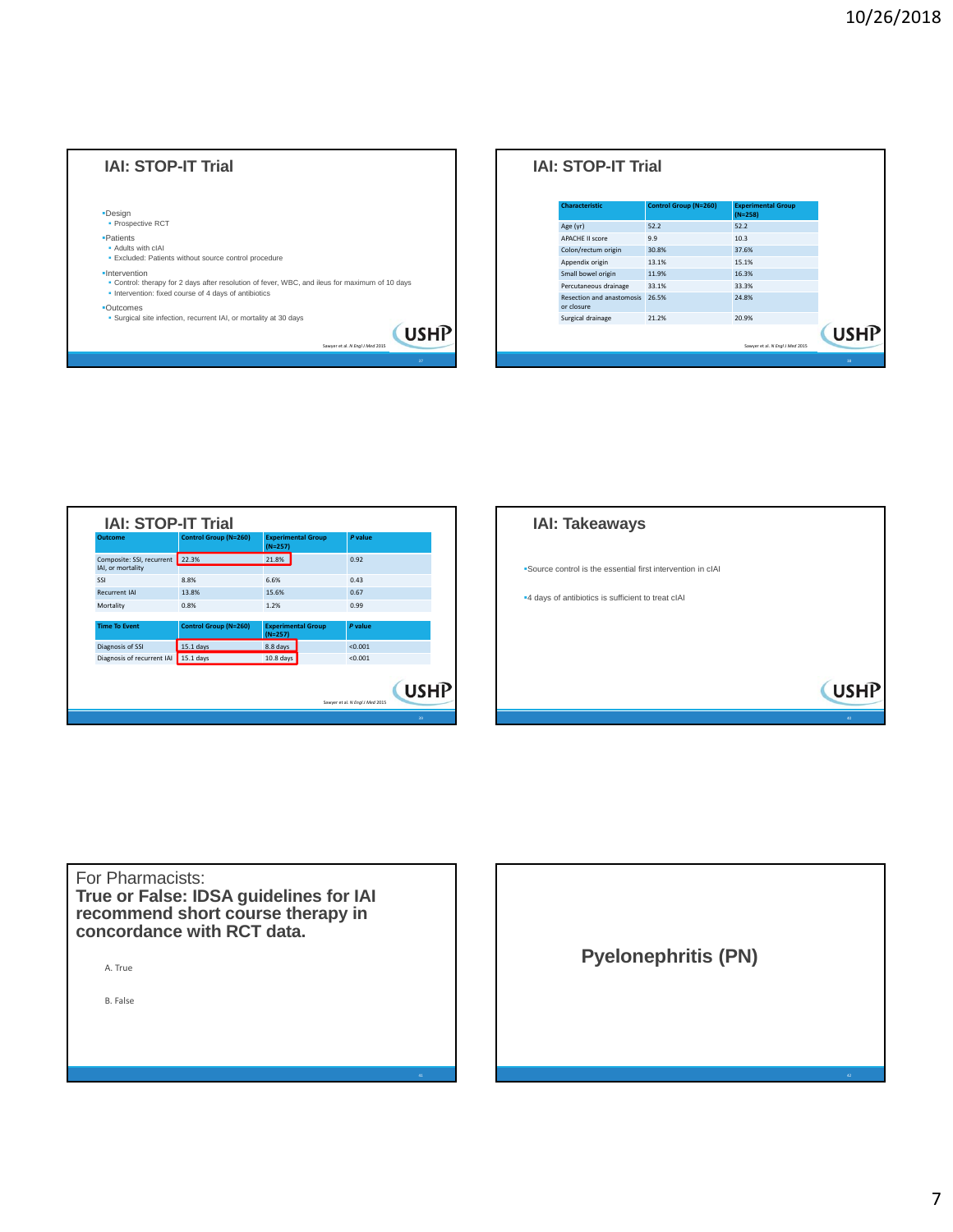| <b>IAI: STOP-IT Trial</b>                                                                                                                                                |                                                |
|--------------------------------------------------------------------------------------------------------------------------------------------------------------------------|------------------------------------------------|
| -Design<br>• Prospective RCT                                                                                                                                             |                                                |
| <b>-Patients</b><br>• Adults with cIAI<br>· Excluded: Patients without source control procedure                                                                          |                                                |
| ·Intervention<br>. Control: therapy for 2 days after resolution of fever, WBC, and ileus for maximum of 10 days<br>• Intervention: fixed course of 4 days of antibiotics |                                                |
| •Qutcomes<br>· Surgical site infection, recurrent IAI, or mortality at 30 days                                                                                           | <b>USHP</b><br>Sawyer et al. N Engl J Med 2015 |
|                                                                                                                                                                          | 37                                             |

| <b>Characteristic</b>                           | <b>Control Group (N=260)</b> | <b>Experimental Group</b><br>$(N=258)$ |
|-------------------------------------------------|------------------------------|----------------------------------------|
| Age (yr)                                        | 52.2                         | 52.2                                   |
| <b>APACHE II score</b>                          | 9.9                          | 10.3                                   |
| Colon/rectum origin                             | 30.8%                        | 37.6%                                  |
| Appendix origin                                 | 13.1%                        | 15.1%                                  |
| Small bowel origin                              | 11.9%                        | 16.3%                                  |
| Percutaneous drainage                           | 33.1%                        | 33.3%                                  |
| <b>Resection and anastomosis</b><br>or closure. | 26.5%                        | 24.8%                                  |
| Surgical drainage                               | 21.2%                        | 20.9%                                  |

| Outcome                    | <b>Control Group (N=260)</b> | <b>Experimental Group</b><br>$(N=257)$ | P value                                        |
|----------------------------|------------------------------|----------------------------------------|------------------------------------------------|
| Composite: SSI, recurrent  | 22.3%                        | 21.8%                                  | 0.92                                           |
| IAI, or mortality          |                              |                                        |                                                |
| SSI                        | 8.8%                         | 6.6%                                   | 0.43                                           |
| <b>Recurrent IAI</b>       | 13.8%                        | 15.6%                                  | 0.67                                           |
| Mortality                  | 0.8%                         | 1.2%                                   | 0.99                                           |
|                            |                              |                                        |                                                |
| <b>Time To Event</b>       | <b>Control Group (N=260)</b> | <b>Experimental Group</b><br>$(N=257)$ | P value                                        |
| Diagnosis of SSI           | $15.1$ days                  | 8.8 days                               | < 0.001                                        |
| Diagnosis of recurrent IAI | $15.1$ days                  | $10.8$ days                            | < 0.001                                        |
|                            |                              |                                        | <b>USHP</b><br>Sawyer et al. N Engl J Med 2015 |



A. True B. False For Pharmacists: **True or False: IDSA guidelines for IAI recommend short course therapy in concordance with RCT data. Pyelonephritis (PN)**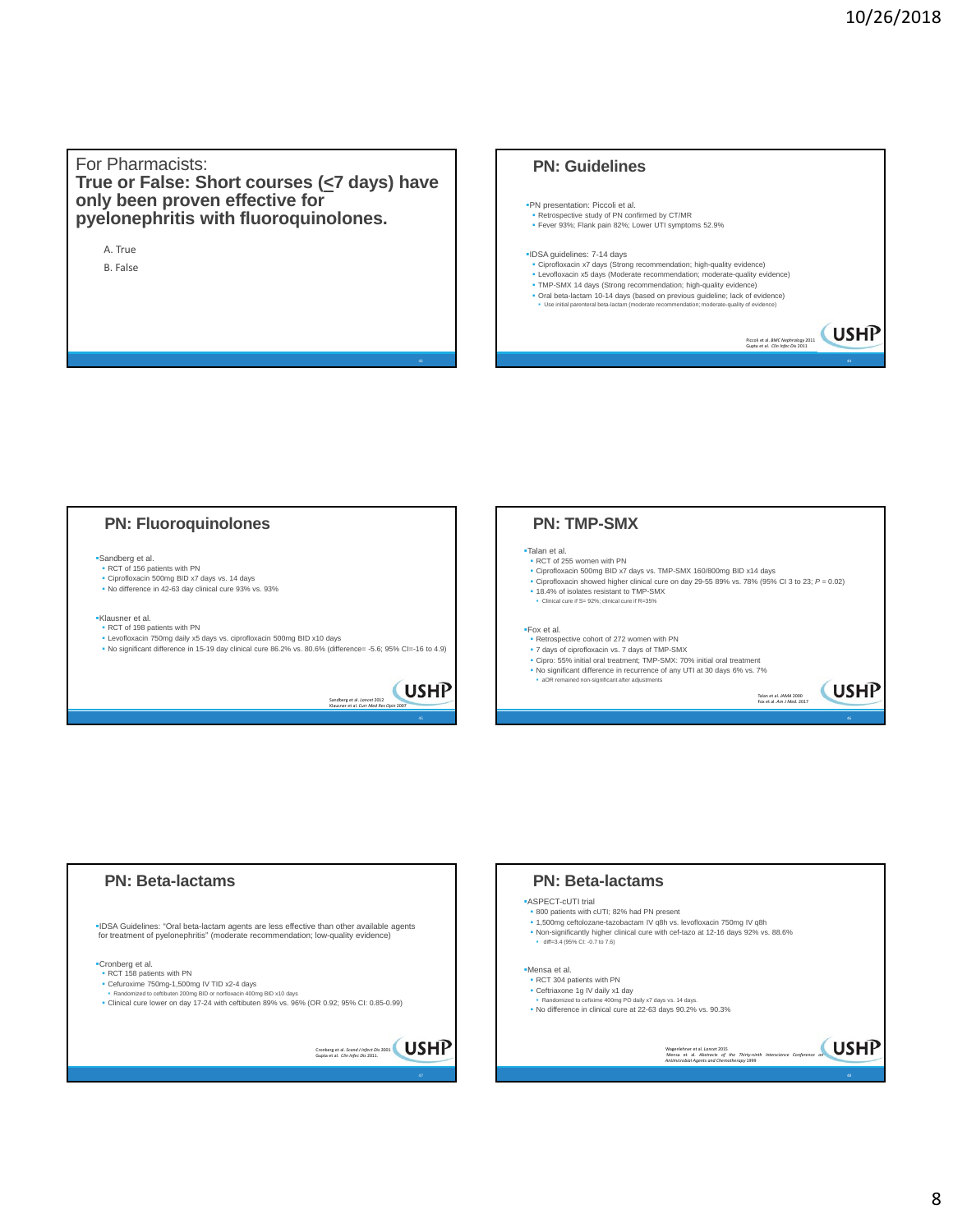#### For Pharmacists: **True or False: Short courses (<7 days) have only been proven effective for pyelonephritis with fluoroquinolones.**

A. True B. False

## **PN: Guidelines**

#### PN presentation: Piccoli et al. **Retrospective study of PN confirmed by CT/MR**

Fever 93%; Flank pain 82%; Lower UTI symptoms 52.9%

#### IDSA guidelines: 7-14 days Ciprofloxacin x7 days (Strong recommendation; high-quality evidence)

- Levofloxacin x5 days (Moderate recommendation; moderate-quality evidence)
- 
- TMP-SMX 14 days (Strong recommendation; high-quality evidence)<br>■ Oral beta-lactam 10-14 days (based on previous guideline; lack of evidence)<br>● Use initial parenteral beta-lactam (moderate recommendation; moderate-qualit

Piccoli et al. *BMC Nephrology* 2011 Gupta et al. *Clin Infec Dis* 2011

#### Sandberg et al. • RCT of 156 patients with PN Ciprofloxacin 500mg BID x7 days vs. 14 days No difference in 42-63 day clinical cure 93% vs. 93% Klausner et al. RCT of 198 patients with PN ■ Levofloxacin 750mg daily x5 days vs. ciprofloxacin 500mg BID x10 days<br>■ No significant difference in 15-19 day clinical cure 86.2% vs. 80.6% (difference= -5.6; 95% CI=-16 to 4.9) **PN: Fluoroquinolones** Sandberg et al. *Lancet* 2012 Klausner et al. *Curr Med Res Opin* 2007 45 Talan et al. RCT of 255 women with PN Ciprofloxacin 500mg BID x7 days vs. TMP-SMX 160/800mg BID x14 days Ciprofloxacin showed higher clinical cure on day 29-55 89% vs. 78% (95% CI 3 to 23; *P* = 0.02) 18.4% of isolates resistant to TMP-SMX Clinical cure if S= 92%; clinical cure if R=35% Fox et al. Retrospective cohort of 272 women with PN 7 days of ciprofloxacin vs. 7 days of TMP-SMX Cipro: 55% initial oral treatment; TMP-SMX: 70% initial oral treatment No significant difference in recurrence of any UTI at 30 days 6% vs. 7% aOR remained non-significant after adjustments **PN: TMP-SMX** Talan et al. *JAMA* 2000 Fox et al. *Am J Med*. 2017





### 8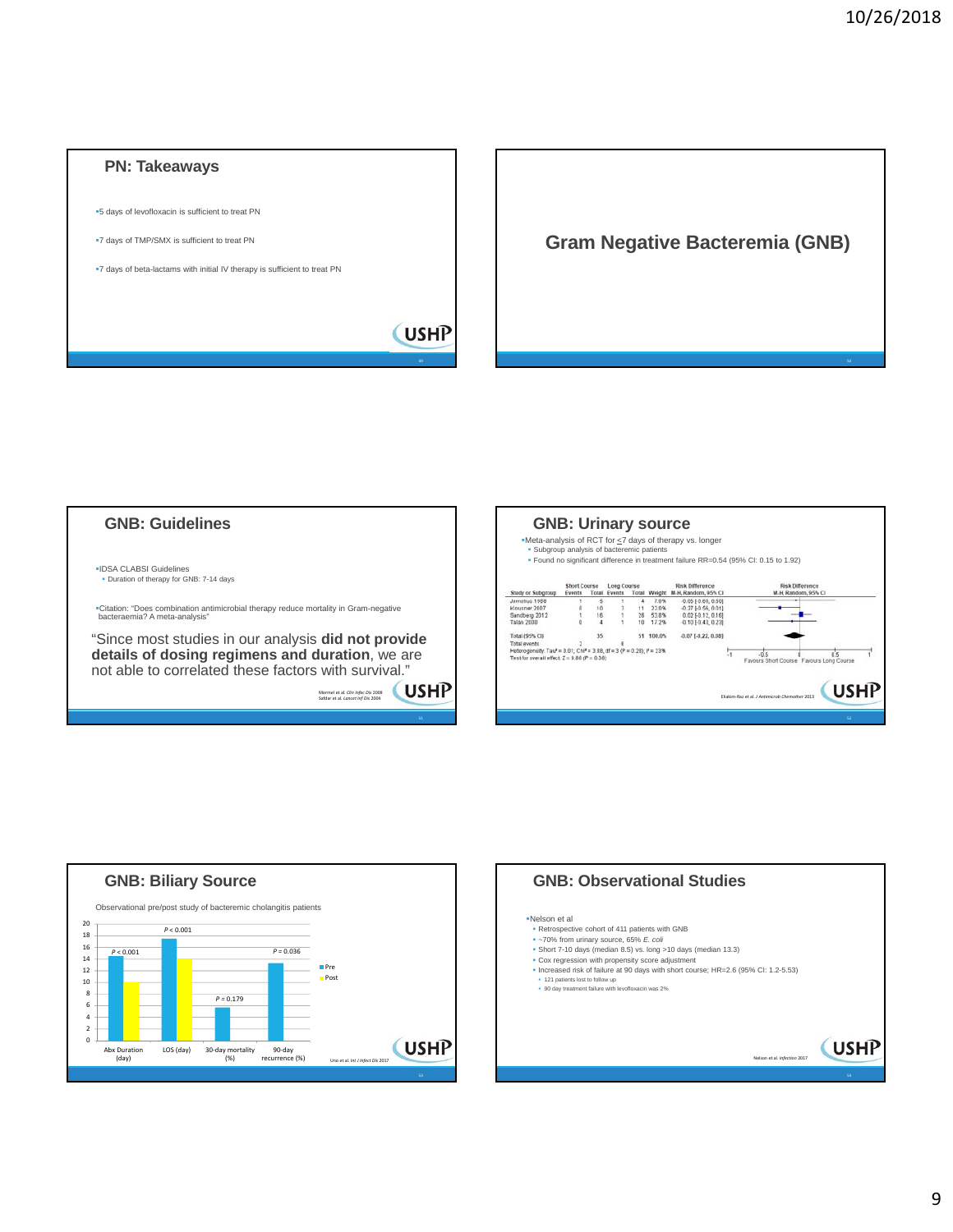







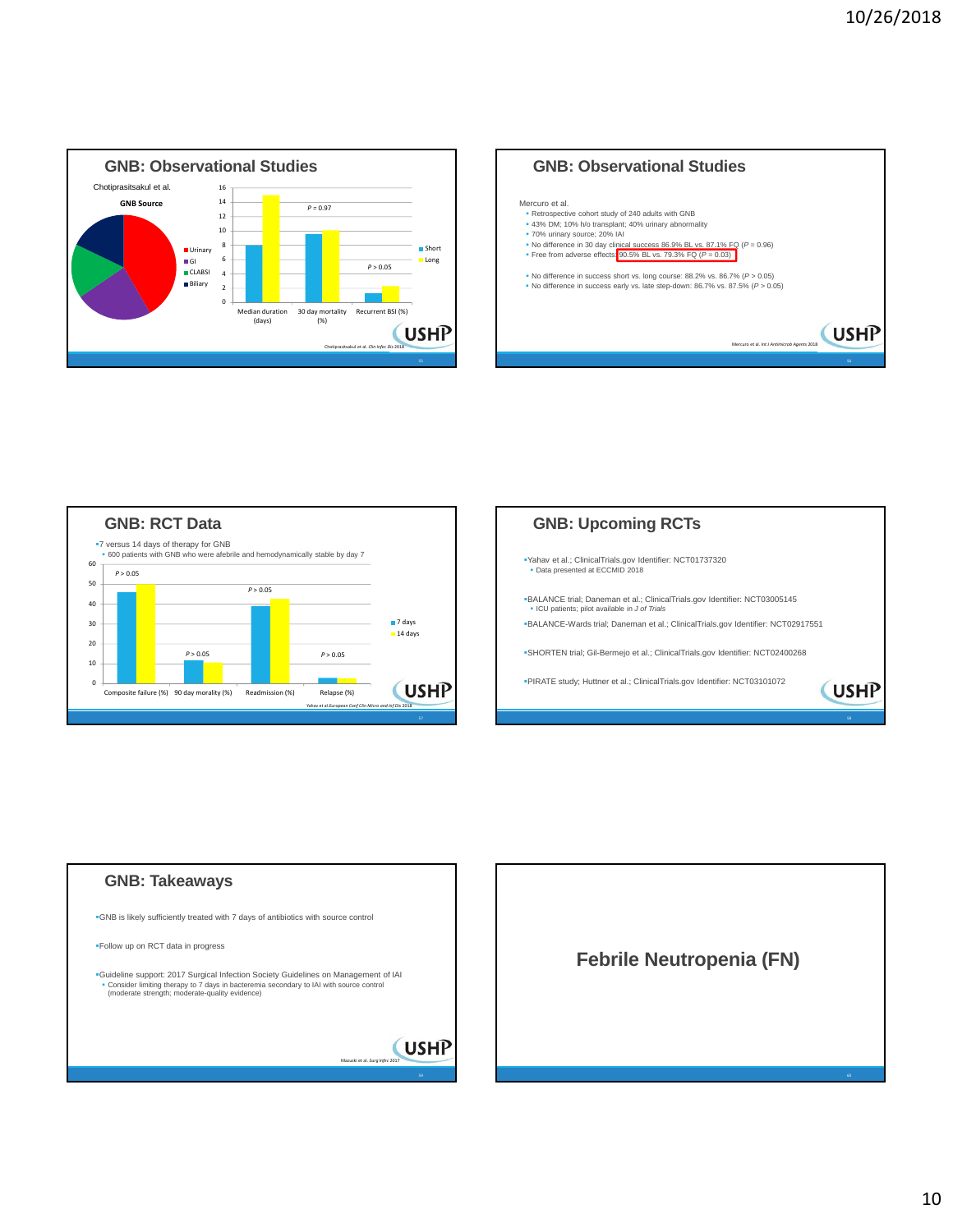









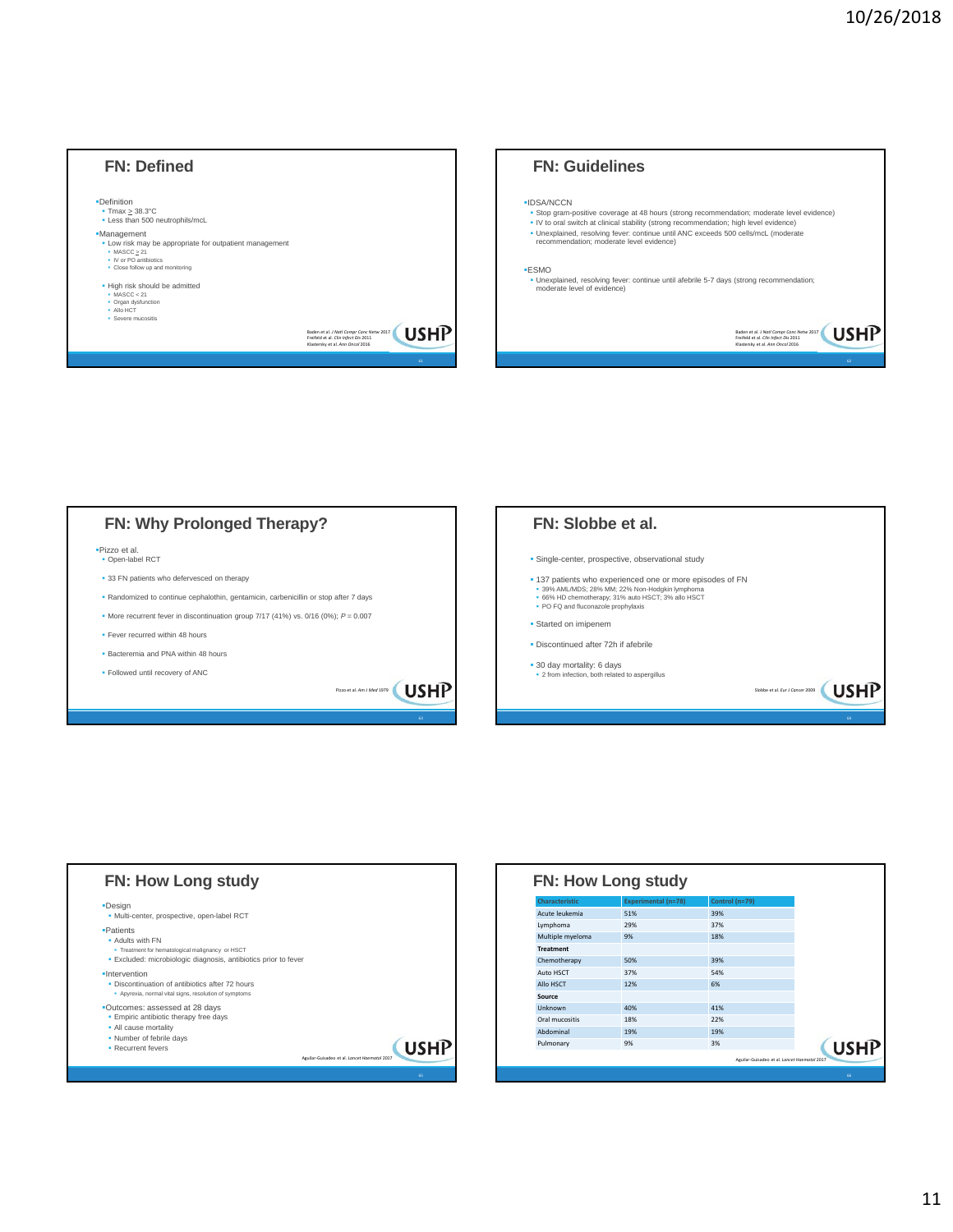







| <b>Characteristic</b> | <b>Experimental (n=78)</b> | Control (n=79) |             |
|-----------------------|----------------------------|----------------|-------------|
| Acute leukemia        | 51%                        | 39%            |             |
| Lymphoma              | 29%                        | 37%            |             |
| Multiple myeloma      | 9%                         | 18%            |             |
| <b>Treatment</b>      |                            |                |             |
| Chemotherapy          | 50%                        | 39%            |             |
| Auto HSCT             | 37%                        | 54%            |             |
| Allo HSCT             | 12%                        | 6%             |             |
| Source                |                            |                |             |
| Unknown               | 40%                        | 41%            |             |
| Oral mucositis        | 18%                        | 22%            |             |
| Ahdominal             | 19%                        | 19%            |             |
| Pulmonary             | 9%                         | 3%             | <b>USHP</b> |